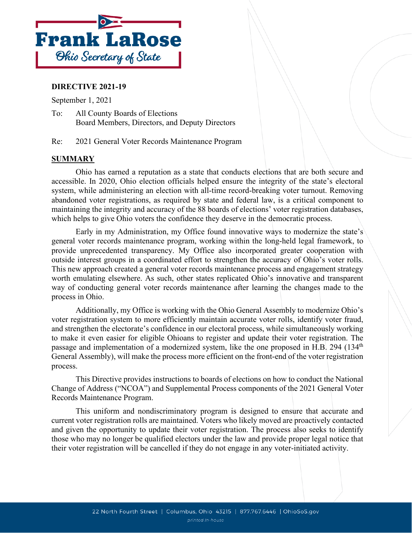

### **DIRECTIVE 2021-19**

September 1, 2021

To: All County Boards of Elections Board Members, Directors, and Deputy Directors

Re: 2021 General Voter Records Maintenance Program

### **SUMMARY**

Ohio has earned a reputation as a state that conducts elections that are both secure and accessible. In 2020, Ohio election officials helped ensure the integrity of the state's electoral system, while administering an election with all-time record-breaking voter turnout. Removing abandoned voter registrations, as required by state and federal law, is a critical component to maintaining the integrity and accuracy of the 88 boards of elections' voter registration databases, which helps to give Ohio voters the confidence they deserve in the democratic process.

Early in my Administration, my Office found innovative ways to modernize the state's general voter records maintenance program, working within the long-held legal framework, to provide unprecedented transparency. My Office also incorporated greater cooperation with outside interest groups in a coordinated effort to strengthen the accuracy of Ohio's voter rolls. This new approach created a general voter records maintenance process and engagement strategy worth emulating elsewhere. As such, other states replicated Ohio's innovative and transparent way of conducting general voter records maintenance after learning the changes made to the process in Ohio.

Additionally, my Office is working with the Ohio General Assembly to modernize Ohio's voter registration system to more efficiently maintain accurate voter rolls, identify voter fraud, and strengthen the electorate's confidence in our electoral process, while simultaneously working to make it even easier for eligible Ohioans to register and update their voter registration. The passage and implementation of a modernized system, like the one proposed in H.B. 294 (134<sup>th</sup>) General Assembly), will make the process more efficient on the front-end of the voter registration process.

This Directive provides instructions to boards of elections on how to conduct the National Change of Address ("NCOA") and Supplemental Process components of the 2021 General Voter Records Maintenance Program.

This uniform and nondiscriminatory program is designed to ensure that accurate and current voter registration rolls are maintained. Voters who likely moved are proactively contacted and given the opportunity to update their voter registration. The process also seeks to identify those who may no longer be qualified electors under the law and provide proper legal notice that their voter registration will be cancelled if they do not engage in any voter-initiated activity.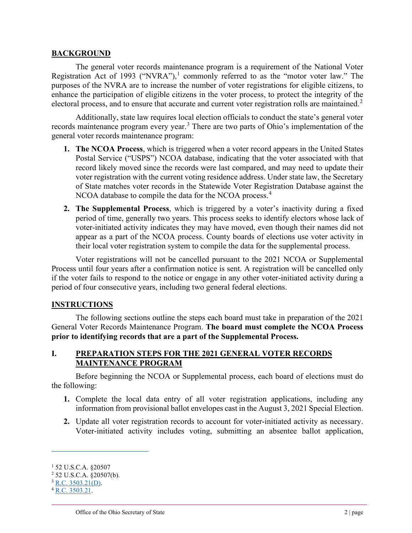#### **BACKGROUND**

The general voter records maintenance program is a requirement of the National Voter Registration Act of [1](#page-1-0)993 ("NVRA"),<sup>1</sup> commonly referred to as the "motor voter law." The purposes of the NVRA are to increase the number of voter registrations for eligible citizens, to enhance the participation of eligible citizens in the voter process, to protect the integrity of the electoral process, and to ensure that accurate and current voter registration rolls are maintained.<sup>[2](#page-1-1)</sup>

Additionally, state law requires local election officials to conduct the state's general voter records maintenance program every year.<sup>[3](#page-1-2)</sup> There are two parts of Ohio's implementation of the general voter records maintenance program:

- **1. The NCOA Process**, which is triggered when a voter record appears in the United States Postal Service ("USPS") NCOA database, indicating that the voter associated with that record likely moved since the records were last compared, and may need to update their voter registration with the current voting residence address. Under state law, the Secretary of State matches voter records in the Statewide Voter Registration Database against the NCOA database to compile the data for the NCOA process.<sup>[4](#page-1-3)</sup>
- **2. The Supplemental Process**, which is triggered by a voter's inactivity during a fixed period of time, generally two years. This process seeks to identify electors whose lack of voter-initiated activity indicates they may have moved, even though their names did not appear as a part of the NCOA process. County boards of elections use voter activity in their local voter registration system to compile the data for the supplemental process.

Voter registrations will not be cancelled pursuant to the 2021 NCOA or Supplemental Process until four years after a confirmation notice is sent. A registration will be cancelled only if the voter fails to respond to the notice or engage in any other voter-initiated activity during a period of four consecutive years, including two general federal elections.

### **INSTRUCTIONS**

The following sections outline the steps each board must take in preparation of the 2021 General Voter Records Maintenance Program. **The board must complete the NCOA Process prior to identifying records that are a part of the Supplemental Process.**

### **I. PREPARATION STEPS FOR THE 2021 GENERAL VOTER RECORDS MAINTENANCE PROGRAM**

Before beginning the NCOA or Supplemental process, each board of elections must do the following:

- **1.** Complete the local data entry of all voter registration applications, including any information from provisional ballot envelopes cast in the August 3, 2021 Special Election.
- **2.** Update all voter registration records to account for voter-initiated activity as necessary. Voter-initiated activity includes voting, submitting an absentee ballot application,

<span id="page-1-0"></span><sup>1</sup> 52 U.S.C.A. §20507

<span id="page-1-1"></span><sup>2</sup> 52 U.S.C.A. §20507(b).

<span id="page-1-2"></span> $3$  [R.C. 3503.21\(D\).](https://codes.ohio.gov/ohio-revised-code/section-3503.21)

<span id="page-1-3"></span> $^{4}$  [R.C. 3503.21.](https://codes.ohio.gov/ohio-revised-code/section-3503.21)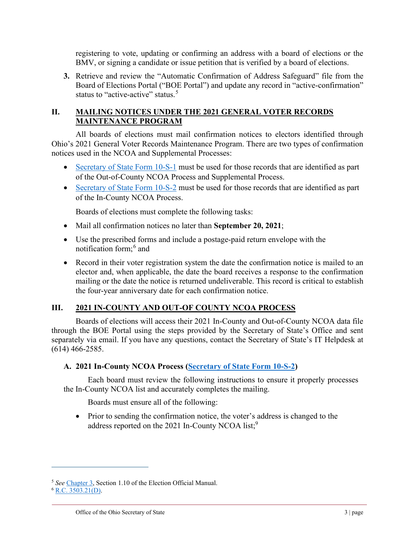registering to vote, updating or confirming an address with a board of elections or the BMV, or signing a candidate or issue petition that is verified by a board of elections.

**3.** Retrieve and review the "Automatic Confirmation of Address Safeguard" file from the Board of Elections Portal ("BOE Portal") and update any record in "active-confirmation" status to "active-active" status.<sup>[5](#page-2-0)</sup>

## **II. MAILING NOTICES UNDER THE 2021 GENERAL VOTER RECORDS MAINTENANCE PROGRAM**

All boards of elections must mail confirmation notices to electors identified through Ohio's 2021 General Voter Records Maintenance Program. There are two types of confirmation notices used in the NCOA and Supplemental Processes:

- [Secretary of State Form 10-S-1](https://www.sos.state.oh.us/globalassets/elections/forms/10-s-1.pdf) must be used for those records that are identified as part of the Out-of-County NCOA Process and Supplemental Process.
- [Secretary of State Form 10-S-2](https://www.sos.state.oh.us/globalassets/elections/forms/10-s-2.pdf) must be used for those records that are identified as part of the In-County NCOA Process.

Boards of elections must complete the following tasks:

- Mail all confirmation notices no later than **September 20, 2021**;
- Use the prescribed forms and include a postage-paid return envelope with the notification form; [6](#page-2-1) and
- Record in their voter registration system the date the confirmation notice is mailed to an elector and, when applicable, the date the board receives a response to the confirmation mailing or the date the notice is returned undeliverable. This record is critical to establish the four-year anniversary date for each confirmation notice.

# **III. 2021 IN-COUNTY AND OUT-OF COUNTY NCOA PROCESS**

Boards of elections will access their 2021 In-County and Out-of-County NCOA data file through the BOE Portal using the steps provided by the Secretary of State's Office and sent separately via email. If you have any questions, contact the Secretary of State's IT Helpdesk at (614) 466-2585.

# **A. 2021 In-County NCOA Process [\(Secretary of State Form 10-S-2\)](https://www.sos.state.oh.us/globalassets/elections/forms/10-s-2.pdf)**

Each board must review the following instructions to ensure it properly processes the In-County NCOA list and accurately completes the mailing.

Boards must ensure all of the following:

• Prior to sending the confirmation notice, the voter's address is changed to the address reported on the 2021 In-County NCOA list;<sup>9</sup>

<span id="page-2-0"></span><sup>5</sup> *See* [Chapter 3,](https://www.ohiosos.gov/globalassets/elections/directives/2021/dir2021-03-ch03.pdf) Section 1.10 of the Election Official Manual.

<span id="page-2-1"></span> $6$  [R.C. 3503.21\(D\).](https://codes.ohio.gov/ohio-revised-code/section-3503.21)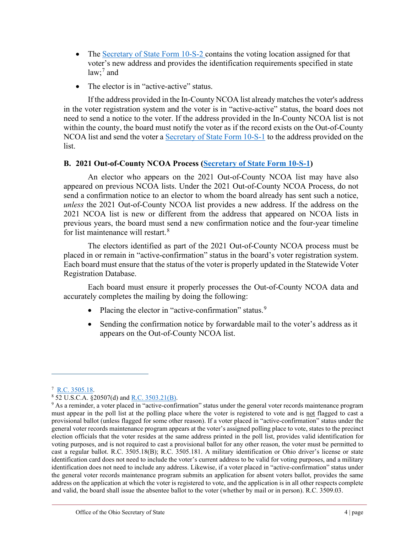- The [Secretary of State Form 10-S-2](https://www.sos.state.oh.us/globalassets/elections/forms/10-s-2.pdf) contains the voting location assigned for that voter's new address and provides the identification requirements specified in state law; [7](#page-3-0) and
- The elector is in "active-active" status.

If the address provided in the In-County NCOA list already matches the voter's address in the voter registration system and the voter is in "active-active" status, the board does not need to send a notice to the voter. If the address provided in the In-County NCOA list is not within the county, the board must notify the voter as if the record exists on the Out-of-County NCOA list and send the voter a [Secretary of State Form 10-S-1](https://www.sos.state.oh.us/globalassets/elections/forms/10-s-1.pdf) to the address provided on the list.

# **B. 2021 Out-of-County NCOA Process [\(Secretary of State Form 10-S-1\)](https://www.sos.state.oh.us/globalassets/elections/forms/10-s-1.pdf)**

An elector who appears on the 2021 Out-of-County NCOA list may have also appeared on previous NCOA lists. Under the 2021 Out-of-County NCOA Process, do not send a confirmation notice to an elector to whom the board already has sent such a notice, *unless* the 2021 Out-of-County NCOA list provides a new address. If the address on the 2021 NCOA list is new or different from the address that appeared on NCOA lists in previous years, the board must send a new confirmation notice and the four-year timeline for list maintenance will restart.<sup>[8](#page-3-1)</sup>

The electors identified as part of the 2021 Out-of-County NCOA process must be placed in or remain in "active-confirmation" status in the board's voter registration system. Each board must ensure that the status of the voter is properly updated in the Statewide Voter Registration Database.

Each board must ensure it properly processes the Out-of-County NCOA data and accurately completes the mailing by doing the following:

- Placing the elector in "active-confirmation" status.<sup>[9](#page-3-2)</sup>
- Sending the confirmation notice by forwardable mail to the voter's address as it appears on the Out-of-County NCOA list.

<span id="page-3-0"></span><sup>&</sup>lt;sup>7</sup> [R.C. 3505.18.](https://codes.ohio.gov/ohio-revised-code/section-3505.18)

<span id="page-3-1"></span><sup>8</sup> 52 U.S.C.A. §20507(d) and [R.C. 3503.21\(B\).](https://codes.ohio.gov/ohio-revised-code/section-3503.21)

<span id="page-3-2"></span><sup>9</sup> As a reminder, a voter placed in "active-confirmation" status under the general voter records maintenance program must appear in the poll list at the polling place where the voter is registered to vote and is not flagged to cast a provisional ballot (unless flagged for some other reason). If a voter placed in "active-confirmation" status under the general voter records maintenance program appears at the voter's assigned polling place to vote, states to the precinct election officials that the voter resides at the same address printed in the poll list, provides valid identification for voting purposes, and is not required to cast a provisional ballot for any other reason, the voter must be permitted to cast a regular ballot. R.C. 3505.18(B); R.C. 3505.181. A military identification or Ohio driver's license or state identification card does not need to include the voter's current address to be valid for voting purposes, and a military identification does not need to include any address. Likewise, if a voter placed in "active-confirmation" status under the general voter records maintenance program submits an application for absent voters ballot, provides the same address on the application at which the voter is registered to vote, and the application is in all other respects complete and valid, the board shall issue the absentee ballot to the voter (whether by mail or in person). R.C. 3509.03.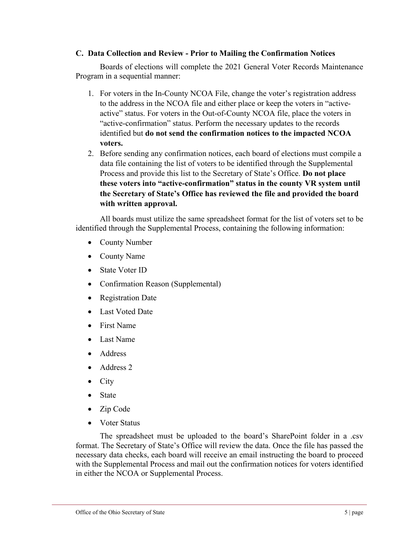### **C. Data Collection and Review - Prior to Mailing the Confirmation Notices**

Boards of elections will complete the 2021 General Voter Records Maintenance Program in a sequential manner:

- 1. For voters in the In-County NCOA File, change the voter's registration address to the address in the NCOA file and either place or keep the voters in "activeactive" status. For voters in the Out-of-County NCOA file, place the voters in "active-confirmation" status. Perform the necessary updates to the records identified but **do not send the confirmation notices to the impacted NCOA voters.**
- 2. Before sending any confirmation notices, each board of elections must compile a data file containing the list of voters to be identified through the Supplemental Process and provide this list to the Secretary of State's Office. **Do not place these voters into "active-confirmation" status in the county VR system until the Secretary of State's Office has reviewed the file and provided the board with written approval.**

All boards must utilize the same spreadsheet format for the list of voters set to be identified through the Supplemental Process, containing the following information:

- County Number
- County Name
- State Voter ID
- Confirmation Reason (Supplemental)
- Registration Date
- **Last Voted Date**
- First Name
- Last Name
- Address
- Address 2
- City
- **State**
- Zip Code
- Voter Status

The spreadsheet must be uploaded to the board's SharePoint folder in a .csv format. The Secretary of State's Office will review the data. Once the file has passed the necessary data checks, each board will receive an email instructing the board to proceed with the Supplemental Process and mail out the confirmation notices for voters identified in either the NCOA or Supplemental Process.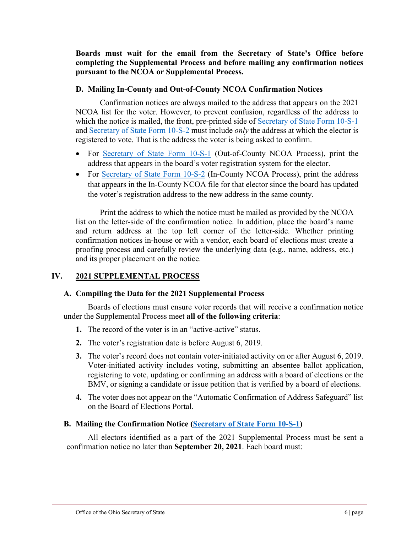**Boards must wait for the email from the Secretary of State's Office before completing the Supplemental Process and before mailing any confirmation notices pursuant to the NCOA or Supplemental Process.**

## **D. Mailing In-County and Out-of-County NCOA Confirmation Notices**

Confirmation notices are always mailed to the address that appears on the 2021 NCOA list for the voter. However, to prevent confusion, regardless of the address to which the notice is mailed, the front, pre-printed side of [Secretary of State Form 10-S-1](https://www.sos.state.oh.us/globalassets/elections/forms/10-s-1.pdf) and [Secretary of State Form 10-S-2](https://www.sos.state.oh.us/globalassets/elections/forms/10-s-2.pdf) must include *only* the address at which the elector is registered to vote. That is the address the voter is being asked to confirm.

- For [Secretary of State Form 10-S-1](https://www.sos.state.oh.us/globalassets/elections/forms/10-s-1.pdf) (Out-of-County NCOA Process), print the address that appears in the board's voter registration system for the elector.
- For [Secretary of State Form 10-S-2](https://www.sos.state.oh.us/globalassets/elections/forms/10-s-2.pdf) (In-County NCOA Process), print the address that appears in the In-County NCOA file for that elector since the board has updated the voter's registration address to the new address in the same county.

Print the address to which the notice must be mailed as provided by the NCOA list on the letter-side of the confirmation notice. In addition, place the board's name and return address at the top left corner of the letter-side. Whether printing confirmation notices in-house or with a vendor, each board of elections must create a proofing process and carefully review the underlying data (e.g., name, address, etc.) and its proper placement on the notice.

# **IV. 2021 SUPPLEMENTAL PROCESS**

# **A. Compiling the Data for the 2021 Supplemental Process**

Boards of elections must ensure voter records that will receive a confirmation notice under the Supplemental Process meet **all of the following criteria**:

- **1.** The record of the voter is in an "active-active" status.
- **2.** The voter's registration date is before August 6, 2019.
- **3.** The voter's record does not contain voter-initiated activity on or after August 6, 2019. Voter-initiated activity includes voting, submitting an absentee ballot application, registering to vote, updating or confirming an address with a board of elections or the BMV, or signing a candidate or issue petition that is verified by a board of elections.
- **4.** The voter does not appear on the "Automatic Confirmation of Address Safeguard" list on the Board of Elections Portal.

# **B. Mailing the Confirmation Notice [\(Secretary of State Form 10-S-1\)](https://www.sos.state.oh.us/globalassets/elections/forms/10-s-1.pdf)**

All electors identified as a part of the 2021 Supplemental Process must be sent a confirmation notice no later than **September 20, 2021**. Each board must: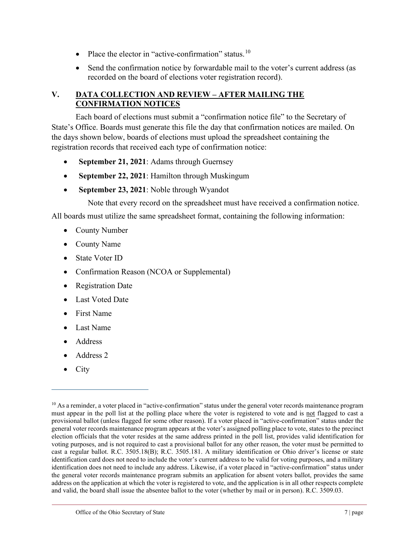- Place the elector in "active-confirmation" status.<sup>[10](#page-6-0)</sup>
- Send the confirmation notice by forwardable mail to the voter's current address (as recorded on the board of elections voter registration record).

# **V. DATA COLLECTION AND REVIEW – AFTER MAILING THE CONFIRMATION NOTICES**

Each board of elections must submit a "confirmation notice file" to the Secretary of State's Office. Boards must generate this file the day that confirmation notices are mailed. On the days shown below, boards of elections must upload the spreadsheet containing the registration records that received each type of confirmation notice:

- **September 21, 2021**: Adams through Guernsey
- **September 22, 2021:** Hamilton through Muskingum
- **September 23, 2021**: Noble through Wyandot

Note that every record on the spreadsheet must have received a confirmation notice.

All boards must utilize the same spreadsheet format, containing the following information:

- County Number
- County Name
- State Voter ID
- Confirmation Reason (NCOA or Supplemental)
- Registration Date
- Last Voted Date
- First Name
- Last Name
- Address
- Address 2
- City

<span id="page-6-0"></span><sup>&</sup>lt;sup>10</sup> As a reminder, a voter placed in "active-confirmation" status under the general voter records maintenance program must appear in the poll list at the polling place where the voter is registered to vote and is not flagged to cast a provisional ballot (unless flagged for some other reason). If a voter placed in "active-confirmation" status under the general voter records maintenance program appears at the voter's assigned polling place to vote, states to the precinct election officials that the voter resides at the same address printed in the poll list, provides valid identification for voting purposes, and is not required to cast a provisional ballot for any other reason, the voter must be permitted to cast a regular ballot. R.C. 3505.18(B); R.C. 3505.181. A military identification or Ohio driver's license or state identification card does not need to include the voter's current address to be valid for voting purposes, and a military identification does not need to include any address. Likewise, if a voter placed in "active-confirmation" status under the general voter records maintenance program submits an application for absent voters ballot, provides the same address on the application at which the voter is registered to vote, and the application is in all other respects complete and valid, the board shall issue the absentee ballot to the voter (whether by mail or in person). R.C. 3509.03.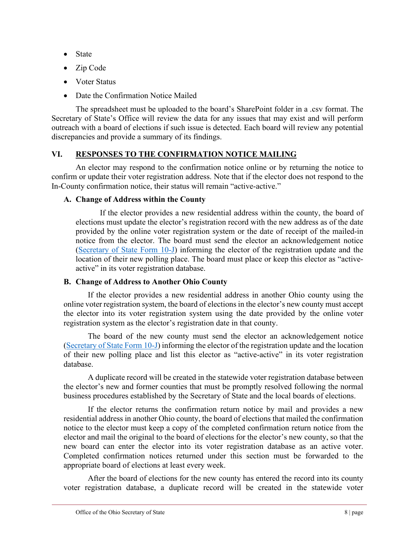- **State**
- Zip Code
- Voter Status
- Date the Confirmation Notice Mailed

The spreadsheet must be uploaded to the board's SharePoint folder in a .csv format. The Secretary of State's Office will review the data for any issues that may exist and will perform outreach with a board of elections if such issue is detected. Each board will review any potential discrepancies and provide a summary of its findings.

# **VI. RESPONSES TO THE CONFIRMATION NOTICE MAILING**

An elector may respond to the confirmation notice online or by returning the notice to confirm or update their voter registration address. Note that if the elector does not respond to the In-County confirmation notice, their status will remain "active-active."

# **A. Change of Address within the County**

If the elector provides a new residential address within the county, the board of elections must update the elector's registration record with the new address as of the date provided by the online voter registration system or the date of receipt of the mailed-in notice from the elector. The board must send the elector an acknowledgement notice [\(Secretary of State Form 10-J\)](https://www.sos.state.oh.us/globalassets/elections/forms/10-j.pdf) informing the elector of the registration update and the location of their new polling place. The board must place or keep this elector as "activeactive" in its voter registration database.

# **B. Change of Address to Another Ohio County**

If the elector provides a new residential address in another Ohio county using the online voter registration system, the board of elections in the elector's new county must accept the elector into its voter registration system using the date provided by the online voter registration system as the elector's registration date in that county.

The board of the new county must send the elector an acknowledgement notice [\(Secretary of State Form 10-J\)](https://www.sos.state.oh.us/globalassets/elections/forms/10-j.pdf) informing the elector of the registration update and the location of their new polling place and list this elector as "active-active" in its voter registration database.

A duplicate record will be created in the statewide voter registration database between the elector's new and former counties that must be promptly resolved following the normal business procedures established by the Secretary of State and the local boards of elections.

If the elector returns the confirmation return notice by mail and provides a new residential address in another Ohio county, the board of elections that mailed the confirmation notice to the elector must keep a copy of the completed confirmation return notice from the elector and mail the original to the board of elections for the elector's new county, so that the new board can enter the elector into its voter registration database as an active voter. Completed confirmation notices returned under this section must be forwarded to the appropriate board of elections at least every week.

After the board of elections for the new county has entered the record into its county voter registration database, a duplicate record will be created in the statewide voter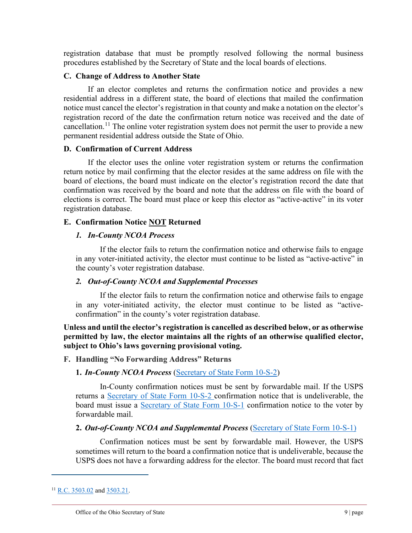registration database that must be promptly resolved following the normal business procedures established by the Secretary of State and the local boards of elections.

### **C. Change of Address to Another State**

If an elector completes and returns the confirmation notice and provides a new residential address in a different state, the board of elections that mailed the confirmation notice must cancel the elector's registration in that county and make a notation on the elector's registration record of the date the confirmation return notice was received and the date of cancellation.<sup>[11](#page-8-0)</sup> The online voter registration system does not permit the user to provide a new permanent residential address outside the State of Ohio.

### **D. Confirmation of Current Address**

If the elector uses the online voter registration system or returns the confirmation return notice by mail confirming that the elector resides at the same address on file with the board of elections, the board must indicate on the elector's registration record the date that confirmation was received by the board and note that the address on file with the board of elections is correct. The board must place or keep this elector as "active-active" in its voter registration database.

# **E. Confirmation Notice NOT Returned**

# *1. In-County NCOA Process*

If the elector fails to return the confirmation notice and otherwise fails to engage in any voter-initiated activity, the elector must continue to be listed as "active-active" in the county's voter registration database.

# *2. Out-of-County NCOA and Supplemental Processes*

If the elector fails to return the confirmation notice and otherwise fails to engage in any voter-initiated activity, the elector must continue to be listed as "activeconfirmation" in the county's voter registration database.

**Unless and until the elector's registration is cancelled as described below, or as otherwise permitted by law, the elector maintains all the rights of an otherwise qualified elector, subject to Ohio's laws governing provisional voting.**

# **F. Handling "No Forwarding Address" Returns**

# **1.** *In-County NCOA Process* [\(Secretary of State Form 10-S-2\)](https://www.sos.state.oh.us/globalassets/elections/forms/10-s-2.pdf)

In-County confirmation notices must be sent by forwardable mail. If the USPS returns a [Secretary of State Form 10-S-2](https://www.sos.state.oh.us/globalassets/elections/forms/10-s-2.pdf) confirmation notice that is undeliverable, the board must issue a [Secretary of State Form 10-S-1](https://www.sos.state.oh.us/globalassets/elections/forms/10-s-1.pdf) confirmation notice to the voter by forwardable mail.

# **2.** *Out-of-County NCOA and Supplemental Process* [\(Secretary of State Form 10-S-1\)](https://www.sos.state.oh.us/globalassets/elections/forms/10-s-1.pdf)

Confirmation notices must be sent by forwardable mail. However, the USPS sometimes will return to the board a confirmation notice that is undeliverable, because the USPS does not have a forwarding address for the elector. The board must record that fact

<span id="page-8-0"></span><sup>&</sup>lt;sup>11</sup> [R.C. 3503.02](https://codes.ohio.gov/ohio-revised-code/section-3503.02) and [3503.21.](https://codes.ohio.gov/ohio-revised-code/section-3503.21)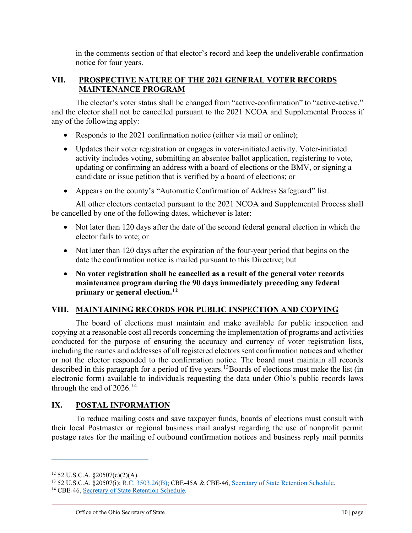in the comments section of that elector's record and keep the undeliverable confirmation notice for four years.

# **VII. PROSPECTIVE NATURE OF THE 2021 GENERAL VOTER RECORDS MAINTENANCE PROGRAM**

The elector's voter status shall be changed from "active-confirmation" to "active-active," and the elector shall not be cancelled pursuant to the 2021 NCOA and Supplemental Process if any of the following apply:

- Responds to the 2021 confirmation notice (either via mail or online);
- Updates their voter registration or engages in voter-initiated activity. Voter-initiated activity includes voting, submitting an absentee ballot application, registering to vote, updating or confirming an address with a board of elections or the BMV, or signing a candidate or issue petition that is verified by a board of elections; or
- Appears on the county's "Automatic Confirmation of Address Safeguard" list.

All other electors contacted pursuant to the 2021 NCOA and Supplemental Process shall be cancelled by one of the following dates, whichever is later:

- Not later than 120 days after the date of the second federal general election in which the elector fails to vote; or
- Not later than 120 days after the expiration of the four-year period that begins on the date the confirmation notice is mailed pursuant to this Directive; but
- **No voter registration shall be cancelled as a result of the general voter records maintenance program during the 90 days immediately preceding any federal primary or general election.[12](#page-9-0)**

# **VIII. MAINTAINING RECORDS FOR PUBLIC INSPECTION AND COPYING**

The board of elections must maintain and make available for public inspection and copying at a reasonable cost all records concerning the implementation of programs and activities conducted for the purpose of ensuring the accuracy and currency of voter registration lists, including the names and addresses of all registered electors sent confirmation notices and whether or not the elector responded to the confirmation notice. The board must maintain all records described in this paragraph for a period of five years.<sup>[13](#page-9-1)</sup>Boards of elections must make the list (in electronic form) available to individuals requesting the data under Ohio's public records laws through the end of  $2026$ .<sup>[14](#page-9-2)</sup>

# **IX. POSTAL INFORMATION**

To reduce mailing costs and save taxpayer funds, boards of elections must consult with their local Postmaster or regional business mail analyst regarding the use of nonprofit permit postage rates for the mailing of outbound confirmation notices and business reply mail permits

<span id="page-9-1"></span><span id="page-9-0"></span> $12$  52 U.S.C.A. §20507(c)(2)(A).

<sup>13</sup> 52 U.S.C.A. §20507(i); [R.C. 3503.26\(B\);](https://codes.ohio.gov/ohio-revised-code/section-3503.26) CBE-45A & CBE-46[, Secretary of State Retention Schedule.](https://www.ohiosos.gov/globalassets/elections/eoresources/general/retentionschedule.pdf)

<span id="page-9-2"></span><sup>&</sup>lt;sup>14</sup> CBE-46, [Secretary of State Retention Schedule.](https://www.ohiosos.gov/globalassets/elections/eoresources/general/retentionschedule.pdf)